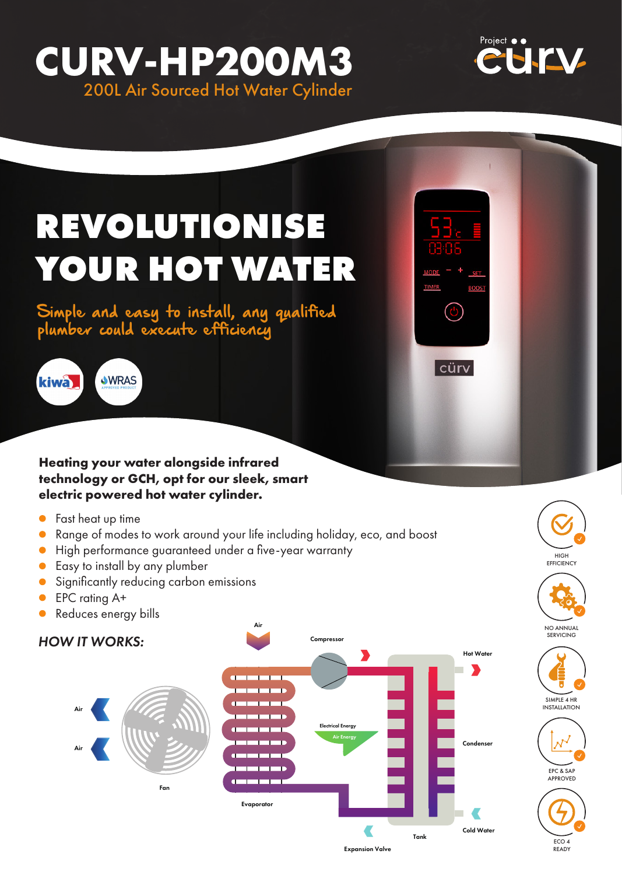## **CURV-HP200M3** 200L Air Sourced Hot Water Cylinder



**TIMER** 

 $\omega$ 

 $|c$ ürv $|$ 

# **REVOLUTIONISE YOUR HOT WATER**

Simple and easy to install, any qualified plumber could execute efficiency





- **•** Fast heat up time
- Range of modes to work around your life including holiday, eco, and boost
- High performance guaranteed under a five-year warranty
- **Easy to install by any plumber**
- **Significantly reducing carbon emissions**
- $\bullet$ EPC rating A+
- Reduces energy bills  $\bullet$









ECO 4 READY